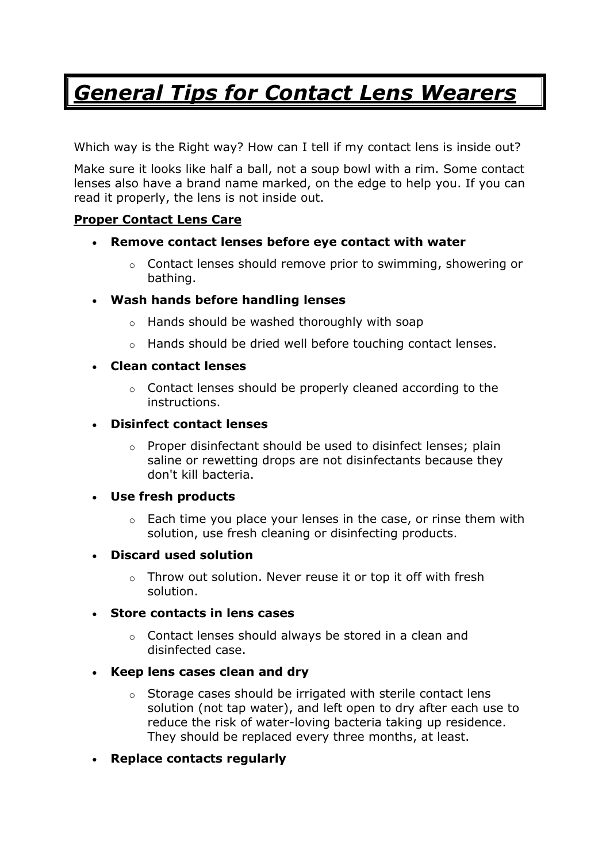# *General Tips for Contact Lens Wearers*

Which way is the Right way? How can I tell if my contact lens is inside out?

Make sure it looks like half a ball, not a soup bowl with a rim. Some contact lenses also have a brand name marked, on the edge to help you. If you can read it properly, the lens is not inside out.

# **Proper Contact Lens Care**

- **Remove contact lenses before eye contact with water**
	- $\circ$  Contact lenses should remove prior to swimming, showering or bathing.
- **Wash hands before handling lenses**
	- o Hands should be washed thoroughly with soap
	- o Hands should be dried well before touching contact lenses.

## • **Clean contact lenses**

- o Contact lenses should be properly cleaned according to the instructions.
- **Disinfect contact lenses**
	- o Proper disinfectant should be used to disinfect lenses; plain saline or rewetting drops are not disinfectants because they don't kill bacteria.

#### • **Use fresh products**

- $\circ$  Each time you place your lenses in the case, or rinse them with solution, use fresh cleaning or disinfecting products.
- **Discard used solution**
	- o Throw out solution. Never reuse it or top it off with fresh solution.

#### • **Store contacts in lens cases**

o Contact lenses should always be stored in a clean and disinfected case.

# • **Keep lens cases clean and dry**

- o Storage cases should be irrigated with sterile contact lens solution (not tap water), and left open to dry after each use to reduce the risk of water-loving bacteria taking up residence. They should be replaced every three months, at least.
- **Replace contacts regularly**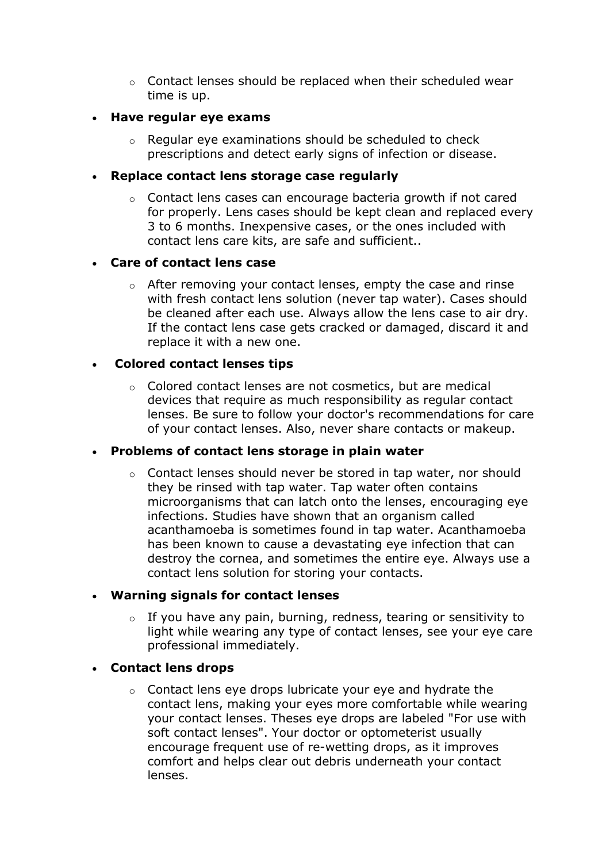$\circ$  Contact lenses should be replaced when their scheduled wear time is up.

## • **Have regular eye exams**

o Regular eye examinations should be scheduled to check prescriptions and detect early signs of infection or disease.

## • **Replace contact lens storage case regularly**

o Contact lens cases can encourage bacteria growth if not cared for properly. Lens cases should be kept clean and replaced every 3 to 6 months. Inexpensive cases, or the ones included with contact lens care kits, are safe and sufficient..

## • **Care of contact lens case**

o After removing your contact lenses, empty the case and rinse with fresh contact lens solution (never tap water). Cases should be cleaned after each use. Always allow the lens case to air dry. If the contact lens case gets cracked or damaged, discard it and replace it with a new one.

## • **Colored contact lenses tips**

o Colored contact lenses are not cosmetics, but are medical devices that require as much responsibility as regular contact lenses. Be sure to follow your doctor's recommendations for care of your contact lenses. Also, never share contacts or makeup.

# • **Problems of contact lens storage in plain water**

 $\circ$  Contact lenses should never be stored in tap water, nor should they be rinsed with tap water. Tap water often contains microorganisms that can latch onto the lenses, encouraging eye infections. Studies have shown that an organism called acanthamoeba is sometimes found in tap water. Acanthamoeba has been known to cause a devastating eye infection that can destroy the cornea, and sometimes the entire eye. Always use a contact lens solution for storing your contacts.

#### • **Warning signals for contact lenses**

 $\circ$  If you have any pain, burning, redness, tearing or sensitivity to light while wearing any type of contact lenses, see your eye care professional immediately.

# • **Contact lens drops**

o Contact lens eye drops lubricate your eye and hydrate the contact lens, making your eyes more comfortable while wearing your contact lenses. Theses eye drops are labeled "For use with soft contact lenses". Your doctor or optometerist usually encourage frequent use of re-wetting drops, as it improves comfort and helps clear out debris underneath your contact lenses.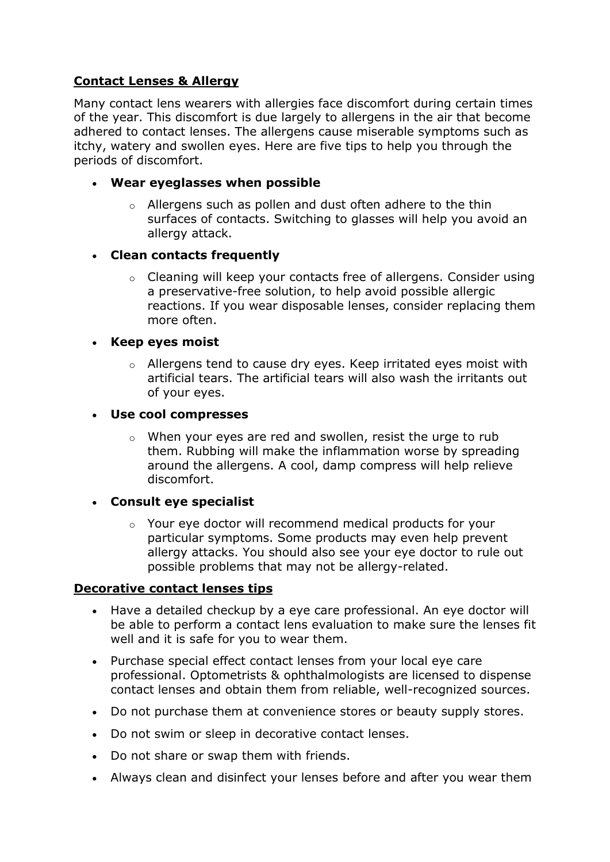# **Contact Lenses & Allergy**

Many contact lens wearers with allergies face discomfort during certain times of the year. This discomfort is due largely to allergens in the air that become adhered to contact lenses. The allergens cause miserable symptoms such as itchy, watery and swollen eyes. Here are five tips to help you through the periods of discomfort.

- **Wear eyeglasses when possible**
	- o Allergens such as pollen and dust often adhere to the thin surfaces of contacts. Switching to glasses will help you avoid an allergy attack.

# • **Clean contacts frequently**

o Cleaning will keep your contacts free of allergens. Consider using a preservative-free solution, to help avoid possible allergic reactions. If you wear disposable lenses, consider replacing them more often.

#### • **Keep eyes moist**

o Allergens tend to cause dry eyes. Keep irritated eyes moist with artificial tears. The artificial tears will also wash the irritants out of your eyes.

#### • **Use cool compresses**

o When your eyes are red and swollen, resist the urge to rub them. Rubbing will make the inflammation worse by spreading around the allergens. A cool, damp compress will help relieve discomfort.

# • **Consult eye specialist**

o Your eye doctor will recommend medical products for your particular symptoms. Some products may even help prevent allergy attacks. You should also see your eye doctor to rule out possible problems that may not be allergy-related.

#### **Decorative contact lenses tips**

- Have a detailed checkup by a eye care professional. An eye doctor will be able to perform a contact lens evaluation to make sure the lenses fit well and it is safe for you to wear them.
- Purchase special effect contact lenses from your local eye care professional. Optometrists & ophthalmologists are licensed to dispense contact lenses and obtain them from reliable, well-recognized sources.
- Do not purchase them at convenience stores or beauty supply stores.
- Do not swim or sleep in decorative contact lenses.
- Do not share or swap them with friends.
- Always clean and disinfect your lenses before and after you wear them